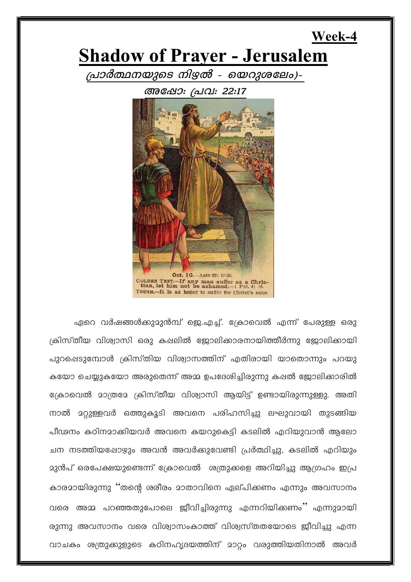# **Shadow of Prayer - Jerusalem**

Week-4

പ്രാർത്ഥനയുടെ നിഴൽ - യെറുശലേം)-

അഷോ: പ്രവ: 22:17



ഏറെ വർഷങ്ങൾക്കുമുൻമ്പ് ജെ.എച്ച്. ക്രോവെൽ എന്ന് പേരുള്ള ഒരു ക്രിസ്തീയ വിശ്വാസി ഒരു കഷലിൽ ജോലിക്കാരനായിത്തീർന്നു ജോലിക്കായി പുറപ്പെടുമ്പോൾ ക്രിസ്തിയ വിശ്വാസത്തിന് എതിരായി യാതൊന്നും പറയു കയോ ചെയ്യുകയോ അരുതെന്ന് അമ്മ ഉപദേശിച്ചിരുന്നു കഷൽ ജോലിക്കാരിൽ ക്രോവെൽ മാത്രമേ ക്രിസ്തീയ വിശ്വാസി ആയിട്ട് ഉണ്ടായിരുന്നുള്ളു. അതി നാൽ മറ്റുള്ളവർ ഒത്തുകൂടി അവനെ പരിഹസിച്ചു ലഘുവായി തുടങ്ങിയ പീഢനം കഠിനമാക്കിയവർ അവനെ കയറുകെട്ടി കടലിൽ എറിയുവാൻ ആലോ ചന നടത്തിയപ്പോഴും അവൻ അവർക്കുവേണ്ടി പ്രർത്ഥിച്ചു, കടലിൽ എറിയും <u> മുൻപ് ഒരപേക്ഷയുണ്ടെന്ന് ക്രോവെൽ ശത്രുക്കളെ അറിയിച്ചു ആഗ്രഹം ഇപ്ര</u> കാരമായിരുന്നു ''തന്റെ ശരീരം മാതാവിനെ ഏല്പിക്കണം എന്നും അവസാനം വരെ അമ്മ പറഞ്ഞതുപോലെ ജീവിച്ചിരുന്നു എന്നറിയിക്കണം'' എന്നുമായി രുന്നു അവസാനം വരെ വിശ്വാസംകാത്ത് വിശ്വസ്തതയോടെ ജീവിച്ചു എന്ന വാചകം ശത്രുക്കുളുടെ കഠിനഹൃദയത്തിന് മാറ്റം വരുത്തിയതിനാൽ അവർ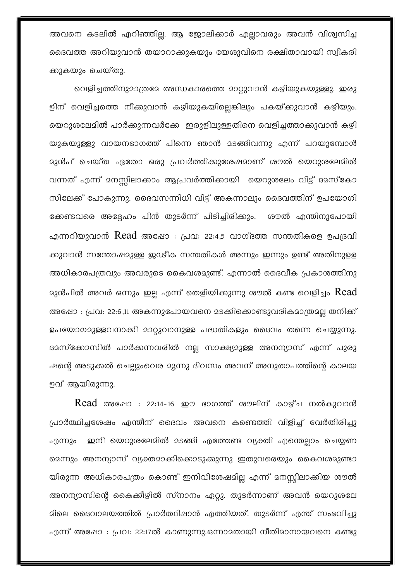അവനെ കടലിൽ എറിഞ്ഞില. ആ ജോലിക്കാർ എലാവരും അവൻ വിശ്വസിച്ച ദൈവത്ത അറിയുവാൻ തയാറാക്കുകയും യേശുവിനെ രക്ഷിതാവായി സ്വീകരി ക്കുകയും ചെയ്തു.

വെളിച്ചത്തിനുമാത്രമേ അന്ധകാരത്തെ മാറ്റുവാൻ കഴിയുകയുള്ളു. ഇരു ളിന് വെളിച്ചത്തെ നീക്കുവാൻ കഴിയുകയില്ലെങ്കിലും പകയ്ക്കുവാൻ കഴിയും. യെറുശലേമിൽ പാർക്കുന്നവർക്കേ ഇരുളിലുള്ളതിനെ വെളിച്ചത്താക്കുവാൻ കഴി യുകയുള്ളു വായനഭാഗത്ത് പിന്നെ ഞാൻ മടങ്ങിവന്നു എന്ന് പറയുമ്പോൾ മുൻപ് ചെയ്ത ഏതോ ഒരു പ്രവർത്തിക്കുശേഷമാണ് ശൗൽ യെറുശലേമിൽ വന്നത് എന്ന് മനസ്സിലാക്കാം ആപ്രവർത്തിക്കായി യെറുശലേം വിട്ട് ദമസ്കോ സിലേക്ക് പോകുന്നു. ദൈവസന്നിധി വിട്ട് അകന്നാലും ദൈവത്തിന് ഉപയോഗി ക്കേണ്ടവരെ അദ്ദേഹം പിൻ തുടർന്ന് പിടിച്ചിരിക്കും. ശൗൽ എന്തിനുപോയി എന്നറിയുവാൻ Read അഷോ : പ്രവ: 22:4,5 വാഗ്ദത്ത സന്തതികളെ ഉപദ്രവി ക്കുവാൻ സന്തോഷമുള്ള ഇ്ലഡീക സന്തതികൾ അന്നും ഇന്നും ഉണ്ട് അതിനുളള അധികാരപത്രവും അവരുടെ കൈവശമുണ്ട്. എന്നാൽ ദൈവീക പ്രകാശത്തിനു  $23$ ൻപിൽ അവർ ഒന്നും ഇല്ല എന്ന് തെളിയിക്കുന്നു ശൗൽ കണ്ട വെളിച്ചം  $\emph{Read}$ അഷോ : പ്രവ: 22:6,11 അകന്നുപോയവനെ മടക്കികൊണ്ടുവരികമാത്രമല്ല തനിക്ക് ഉപയോഗമുള്ളവനാക്കി മാറ്റുവാനുള്ള പദ്ധതികളും ദൈവം തന്നെ ചെയ്യുന്നു. ദമസ്ക്കോസിൽ പാർക്കന്നവരിൽ നല്ല സാക്ഷ്യമുള്ള അനന്യാസ് എന്ന് പുരു ഷന്റെ അടുക്കൽ ചെല്ലുംവെര മൂന്നു ദിവസം അവന് അനുതാപത്തിന്റെ കാലയ ളവ് ആയിരുന്നു.

 $\rm Read$  അഷോ : 22:14-16 ഈ ഭാഗത്ത് രൗലിന് കാഴ്ച നൽകുവാൻ പ്രാർത്ഥിച്ചശേഷം എന്തീന് ദൈവം അവനെ കണ്ടെത്തി വിളിച്ച് വേർതിരിച്ചു ഇനി യെറുശലേമിൽ മടങ്ങി എത്തേണ്ട വ്യക്തി എന്തെല്ലാം ചെയ്യണ എന്നും മെന്നും അനന്യാസ് വ്യക്തമാക്കികൊടുക്കുന്നു ഇതുവരെയും കൈവശമുണ്ടാ യിരുന്ന അധികാരപത്രം കൊണ്ട് ഇനിവിശേഷമില്ല എന്ന് മനസ്സിലാക്കിയ ശൗൽ അനന്യാസിന്റെ കൈക്കീഴിൽ സ്നാനം ഏറ്റു. തുടർന്നാണ് അവൻ യെറുശലേ മിലെ ദൈവാലയത്തിൽ പ്രാർത്ഥിപ്പാൻ എത്തിയത്. തുടർന്ന് എന്ത് സംഭവിച്ചു എന്ന് അഷോ : പ്രവ: 22:17ൽ കാണുന്നു.ഒന്നാമതായി നീതിമാനായവനെ കണ്ടു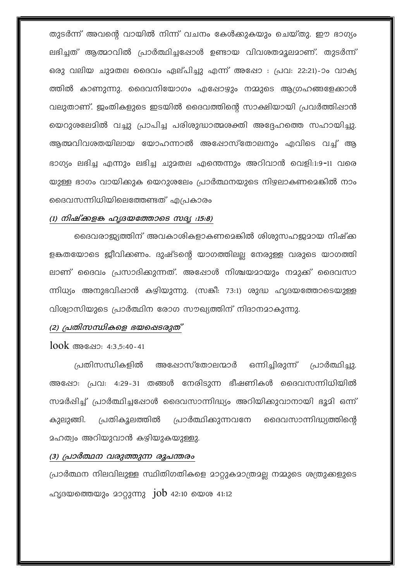തുടർന്ന് അവന്റെ വായിൽ നിന്ന് വചനം കേൾക്കുകയും ചെയ്തു. ഈ ഭാഗ്യം ലഭിച്ചത് ആത്മാവിൽ പ്രാർത്ഥിച്ചപ്പോൾ ഉണ്ടായ വിവശതമൂലമാണ്. തുടർന്ന് ഒരു വലിയ ചുമതല ദൈവം ഏല്പിച്ചു എന്ന് അഷോ : പ്രവ: 22:21)-ാം വാക്യ ത്തിൽ കാണുന്നു. ദൈവനിയോഗം എപ്പോഴ്യും നമ്മുടെ ആഗ്രഹങ്ങളേക്കാൾ വലുതാണ്. ജംതികളുടെ ഇടയിൽ ദൈവത്തിന്റെ സാക്ഷിയായി പ്രവർത്തിഷാൻ യെറുശലേമിൽ വച്ചു പ്രാപിച്ച പരിശുദ്ധാത്മശക്തി അദ്ദേഹത്തെ സഹായിച്ചു. ആത്മവിവശതയിലായ യോഹന്നാൽ അഷോസ്തോലനും എവിടെ വച്ച് ആ ഭാഗ്യം ലഭിച്ച എന്നും ലഭിച്ച ചുമതല എന്തെന്നും അറിവാൻ വെളി:1:9-11 വരെ യുള്ള ഭാഗം വായിക്കുക യെറുശലേം പ്രാർത്ഥനയുടെ നിഴലാകണമെങ്കിൽ നാം ദൈവസന്നിധിയിലെത്തേണ്ടത് എപ്രകാരം

#### (1) നിഷ്ക്കളങ്ക ഹൃദയത്തോടെ സദ്യ :15:8)

ദൈവരാജ്യത്തിന് അവകാശികളാകണമെങ്കിൽ ശിശുസഹജമായ നിഷ്ക്ക ളങ്കതയോടെ ജീവിക്കണം. ദുഷ്ടന്റെ യാഗത്തിലല്ല നേരുള്ള വരുടെ യാഗത്തി ലാണ് ദൈവം പ്രസാദിക്കുന്നത്. അഷോൾ നിശ്ചയമായും നമുക്ക് ദൈവസാ ന്നിധ്യം അനുഭവിഷാൻ കഴിയുന്നു. (സങ്കീ: 73:1) ശുദ്ധ ഹൃദയത്തോടെയുള്ള വിശ്വാസിയുടെ പ്രാർത്ഥിന രോഗ സൗഖ്യത്തിന് നിദാനമാകുന്നു.

#### (2) പ്രതിസന്ധികളെ ഭയഷെടരുത്

 $100k$  അഷോ: 4:3,5:40-41

പ്രതിസന്ധികളിൽ അഷോസ്തോലന്മാർ ഒന്നിച്ചിരുന്ന് പ്രാർത്ഥിച്ചു. അഷോ: പ്രവ: 4:29-31 തങ്ങൾ നേരിടുന്ന ഭീഷണികൾ ദൈവസന്നിധിയിൽ സമർപ്പിച്ച് പ്രാർത്ഥിച്ചപ്പോൾ ദൈവസാന്നിദ്ധ്യം അറിയിക്കുവാനായി ഭൂമി ഒന്ന് പ്രതികൂലത്തിൽ പ്രാർത്ഥിക്കുന്നവനേ ദൈവസാന്നിദ്ധ്യത്തിന്റെ കാലാങ്ങി. ഛത്വം അറിയുവാൻ കഴിയുകയുള്ളു.

### (3) പ്രാർത്ഥന വരുത്തുന്ന രൂപന്തരം

പ്രാർത്ഥന നിലവിലുള്ള സ്ഥിതിഗതികളെ മാറ്റുകമാത്രമല്ല നമ്മുടെ ശത്രുക്കളുടെ ഹൃദയത്തെയും മാറ്റുന്നു  $j$ ob 42:10 യെശ 41:12